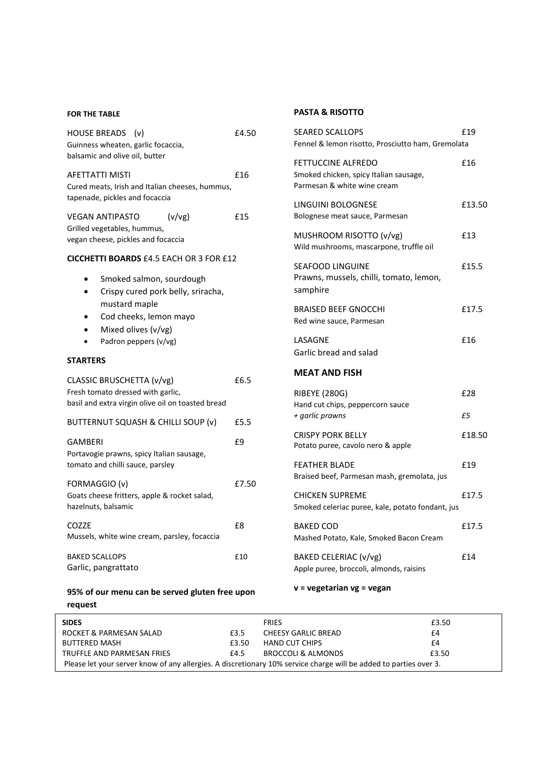## **FOR THE TABLE**

| SIDES<br>FRIE                                                                                                                                                  |       |  |  |  |  |  |
|----------------------------------------------------------------------------------------------------------------------------------------------------------------|-------|--|--|--|--|--|
| request                                                                                                                                                        |       |  |  |  |  |  |
| 95% of our menu can be served gluten free upon                                                                                                                 |       |  |  |  |  |  |
| <b>BAKED SCALLOPS</b><br>Garlic, pangrattato                                                                                                                   | £10   |  |  |  |  |  |
| COZZE<br>Mussels, white wine cream, parsley, focaccia                                                                                                          | £8    |  |  |  |  |  |
| FORMAGGIO (v)<br>Goats cheese fritters, apple & rocket salad,<br>hazelnuts, balsamic                                                                           | £7.50 |  |  |  |  |  |
| GAMBERI<br>Portavogie prawns, spicy Italian sausage,<br>tomato and chilli sauce, parsley                                                                       | £9    |  |  |  |  |  |
| BUTTERNUT SQUASH & CHILLI SOUP (v)                                                                                                                             | £5.5  |  |  |  |  |  |
| CLASSIC BRUSCHETTA (v/vg)<br>Fresh tomato dressed with garlic,<br>basil and extra virgin olive oil on toasted bread                                            | £6.5  |  |  |  |  |  |
| <b>STARTERS</b>                                                                                                                                                |       |  |  |  |  |  |
| Smoked salmon, sourdough<br>Crispy cured pork belly, sriracha,<br>mustard maple<br>Cod cheeks, lemon mayo<br>٠<br>Mixed olives (v/vg)<br>Padron peppers (v/vg) |       |  |  |  |  |  |
| <b>CICCHETTI BOARDS £4.5 EACH OR 3 FOR £12</b>                                                                                                                 |       |  |  |  |  |  |
| <b>VEGAN ANTIPASTO</b><br>(v/v)<br>Grilled vegetables, hummus,<br>vegan cheese, pickles and focaccia                                                           | £15   |  |  |  |  |  |
| AFETTATTI MISTI<br>Cured meats, Irish and Italian cheeses, hummus,<br>tapenade, pickles and focaccia                                                           | £16   |  |  |  |  |  |
| HOUSE BREADS (v)<br>Guinness wheaten, garlic focaccia,<br>balsamic and olive oil, butter                                                                       | £4.50 |  |  |  |  |  |
|                                                                                                                                                                |       |  |  |  |  |  |

## **PASTA & RISOTTO**

| <b>SEARED SCALLOPS</b><br>Fennel & lemon risotto, Prosciutto ham, Gremolata                 | £19       |
|---------------------------------------------------------------------------------------------|-----------|
| FETTUCCINE ALFREDO<br>Smoked chicken, spicy Italian sausage,<br>Parmesan & white wine cream | £16       |
| LINGUINI BOLOGNESE<br>Bolognese meat sauce, Parmesan                                        | £13.50    |
| MUSHROOM RISOTTO (v/vg)<br>Wild mushrooms, mascarpone, truffle oil                          | £13       |
| <b>SEAFOOD LINGUINE</b><br>Prawns, mussels, chilli, tomato, lemon,<br>samphire              | £15.5     |
| BRAISED BEEF GNOCCHI<br>Red wine sauce, Parmesan                                            | £17.5     |
| LASAGNE<br>Garlic bread and salad                                                           | £16       |
| MEAT AND FISH                                                                               |           |
|                                                                                             |           |
| <b>RIBEYE (280G)</b><br>Hand cut chips, peppercorn sauce                                    | £28<br>£5 |
| + garlic prawns<br><b>CRISPY PORK BELLY</b><br>Potato puree, cavolo nero & apple            | £18.50    |
| <b>FEATHER BLADE</b><br>Braised beef, Parmesan mash, gremolata, jus                         | £19       |
| <b>CHICKEN SUPREME</b><br>Smoked celeriac puree, kale, potato fondant, jus                  | £17.5     |
| <b>BAKED COD</b><br>Mashed Potato, Kale, Smoked Bacon Cream                                 | £17.5     |
| BAKED CELERIAC (v/vg)<br>Apple puree, broccoli, almonds, raisins                            | £14       |

| <b>SIDES</b>                                                                                                      |       | <b>FRIES</b>          | £3.50 |  |  |  |
|-------------------------------------------------------------------------------------------------------------------|-------|-----------------------|-------|--|--|--|
| ROCKET & PARMESAN SALAD                                                                                           | £3.5  | CHEESY GARLIC BREAD   | £4    |  |  |  |
| <b>BUTTERED MASH</b>                                                                                              | £3.50 | <b>HAND CUT CHIPS</b> | £4    |  |  |  |
| TRUFFLE AND PARMESAN FRIES                                                                                        | £4.5  | BROCCOLI & ALMONDS    | £3.50 |  |  |  |
| Please let your server know of any allergies. A discretionary 10% service charge will be added to parties over 3. |       |                       |       |  |  |  |
|                                                                                                                   |       |                       |       |  |  |  |